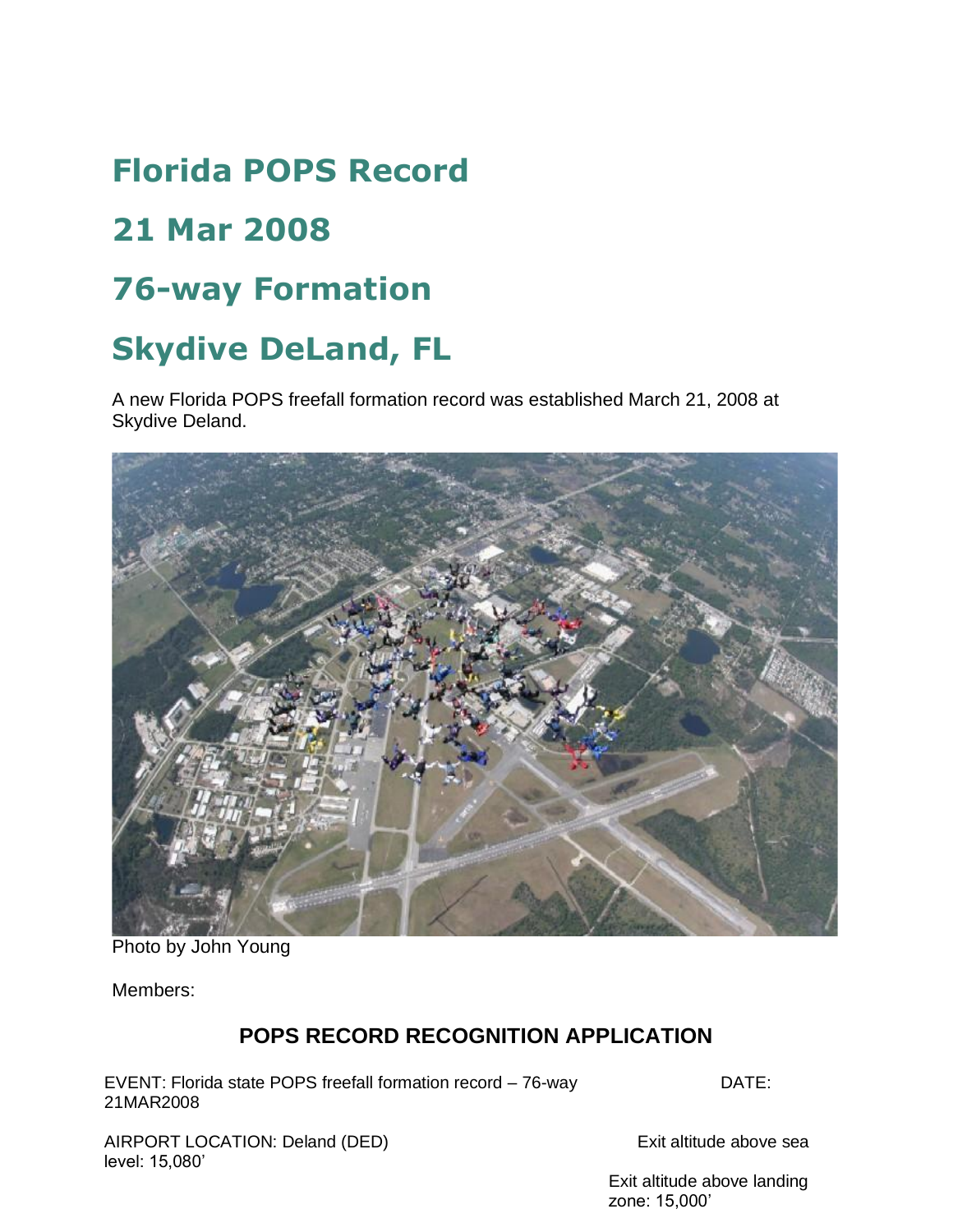# **Florida POPS Record**

## **21 Mar 2008**

### **76-way Formation**

## **Skydive DeLand, FL**

A new Florida POPS freefall formation record was established March 21, 2008 at Skydive Deland.



Photo by John Young

Members:

#### **POPS RECORD RECOGNITION APPLICATION**

EVENT: Florida state POPS freefall formation record - 76-way DATE: 21MAR2008

AIRPORT LOCATION: Deland (DED) Exit altitude above sea level: 15,080'

Exit altitude above landing zone: 15,000'